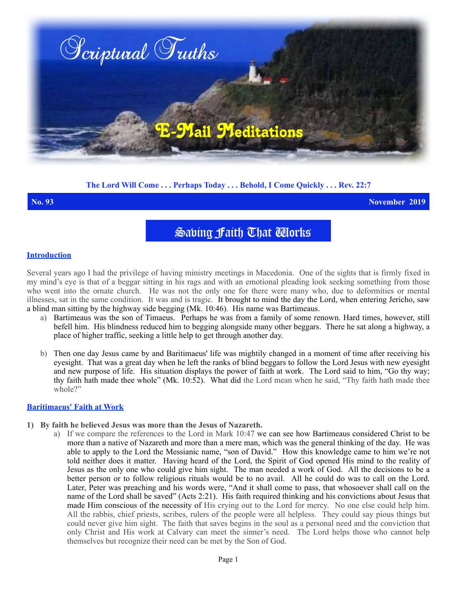

# **The Lord Will Come . . . Perhaps Today . . . Behold, I Come Quickly . . . Rev. 22:7**

**No. 93 November 2019**

Saving Faith That Works

#### **Introduction**

Several years ago I had the privilege of having ministry meetings in Macedonia. One of the sights that is firmly fixed in my mind's eye is that of a beggar sitting in his rags and with an emotional pleading look seeking something from those who went into the ornate church. He was not the only one for there were many who, due to deformities or mental illnesses, sat in the same condition. It was and is tragic. It brought to mind the day the Lord, when entering Jericho, saw a blind man sitting by the highway side begging (Mk. 10:46). His name was Bartimeaus.

- a) Bartimeaus was the son of Timaeus. Perhaps he was from a family of some renown. Hard times, however, still befell him. His blindness reduced him to begging alongside many other beggars. There he sat along a highway, a place of higher traffic, seeking a little help to get through another day.
- b) Then one day Jesus came by and Baritimaeus' life was mightily changed in a moment of time after receiving his eyesight. That was a great day when he left the ranks of blind beggars to follow the Lord Jesus with new eyesight and new purpose of life. His situation displays the power of faith at work. The Lord said to him, "Go thy way; thy faith hath made thee whole" (Mk. 10:52). What did the Lord mean when he said, "Thy faith hath made thee whole?"

### **Baritimaeus' Faith at Work**

- **1) By faith he believed Jesus was more than the Jesus of Nazareth.**
	- a) If we compare the references to the Lord in Mark 10:47 we can see how Bartimeaus considered Christ to be more than a native of Nazareth and more than a mere man, which was the general thinking of the day. He was able to apply to the Lord the Messianic name, "son of David." How this knowledge came to him we're not told neither does it matter. Having heard of the Lord, the Spirit of God opened His mind to the reality of Jesus as the only one who could give him sight. The man needed a work of God. All the decisions to be a better person or to follow religious rituals would be to no avail. All he could do was to call on the Lord. Later, Peter was preaching and his words were, "And it shall come to pass, that whosoever shall call on the name of the Lord shall be saved" (Acts 2:21). His faith required thinking and his convictions about Jesus that made Him conscious of the necessity of His crying out to the Lord for mercy. No one else could help him. All the rabbis, chief priests, scribes, rulers of the people were all helpless. They could say pious things but could never give him sight. The faith that saves begins in the soul as a personal need and the conviction that only Christ and His work at Calvary can meet the sinner's need. The Lord helps those who cannot help themselves but recognize their need can be met by the Son of God.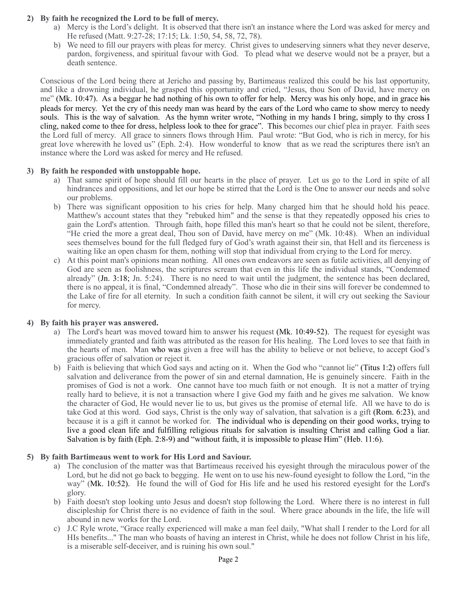## **2) By faith he recognized the Lord to be full of mercy.**

- a) Mercy is the Lord's delight. It is observed that there isn't an instance where the Lord was asked for mercy and He refused (Matt. 9:27-28; 17:15; Lk. 1:50, 54, 58, 72, 78).
- b) We need to fill our prayers with pleas for mercy. Christ gives to undeserving sinners what they never deserve, pardon, forgiveness, and spiritual favour with God. To plead what we deserve would not be a prayer, but a death sentence.

Conscious of the Lord being there at Jericho and passing by, Bartimeaus realized this could be his last opportunity, and like a drowning individual, he grasped this opportunity and cried, "Jesus, thou Son of David, have mercy on me" (Mk. 10:47). As a beggar he had nothing of his own to offer for help. Mercy was his only hope, and in grace his pleads for mercy. Yet the cry of this needy man was heard by the ears of the Lord who came to show mercy to needy souls. This is the way of salvation. As the hymn writer wrote, "Nothing in my hands I bring, simply to thy cross I cling, naked come to thee for dress, helpless look to thee for grace". This becomes our chief plea in prayer. Faith sees the Lord full of mercy. All grace to sinners flows through Him. Paul wrote: "But God, who is rich in mercy, for his great love wherewith he loved us" (Eph. 2:4). How wonderful to know that as we read the scriptures there isn't an instance where the Lord was asked for mercy and He refused.

## **3) By faith he responded with unstoppable hope.**

- a) That same spirit of hope should fill our hearts in the place of prayer. Let us go to the Lord in spite of all hindrances and oppositions, and let our hope be stirred that the Lord is the One to answer our needs and solve our problems.
- b) There was significant opposition to his cries for help. Many charged him that he should hold his peace. Matthew's account states that they "rebuked him" and the sense is that they repeatedly opposed his cries to gain the Lord's attention. Through faith, hope filled this man's heart so that he could not be silent, therefore, "He cried the more a great deal, Thou son of David, have mercy on me" (Mk. 10:48). When an individual sees themselves bound for the full fledged fury of God's wrath against their sin, that Hell and its fierceness is waiting like an open chasm for them, nothing will stop that individual from crying to the Lord for mercy.
- c) At this point man's opinions mean nothing. All ones own endeavors are seen as futile activities, all denying of God are seen as foolishness, the scriptures scream that even in this life the individual stands, "Condemned already" (Jn. 3:18; Jn. 5:24). There is no need to wait until the judgment, the sentence has been declared, there is no appeal, it is final, "Condemned already". Those who die in their sins will forever be condemned to the Lake of fire for all eternity. In such a condition faith cannot be silent, it will cry out seeking the Saviour for mercy.

# **4) By faith his prayer was answered.**

- a) The Lord's heart was moved toward him to answer his request (Mk. 10:49-52). The request for eyesight was immediately granted and faith was attributed as the reason for His healing. The Lord loves to see that faith in the hearts of men. Man who was given a free will has the ability to believe or not believe, to accept God's gracious offer of salvation or reject it.
- b) Faith is believing that which God says and acting on it. When the God who "cannot lie" (Titus 1:2) offers full salvation and deliverance from the power of sin and eternal damnation, He is genuinely sincere. Faith in the promises of God is not a work. One cannot have too much faith or not enough. It is not a matter of trying really hard to believe, it is not a transaction where I give God my faith and he gives me salvation. We know the character of God, He would never lie to us, but gives us the promise of eternal life. All we have to do is take God at this word. God says, Christ is the only way of salvation, that salvation is a gift (Rom. 6:23), and because it is a gift it cannot be worked for. The individual who is depending on their good works, trying to live a good clean life and fulfilling religious rituals for salvation is insulting Christ and calling God a liar. Salvation is by faith (Eph. 2:8-9) and "without faith, it is impossible to please Him" (Heb. 11:6).

# **5) By faith Bartimeaus went to work for His Lord and Saviour.**

- a) The conclusion of the matter was that Bartimeaus received his eyesight through the miraculous power of the Lord, but he did not go back to begging. He went on to use his new-found eyesight to follow the Lord, "in the way" (Mk. 10:52). He found the will of God for His life and he used his restored eyesight for the Lord's glory.
- b) Faith doesn't stop looking unto Jesus and doesn't stop following the Lord. Where there is no interest in full discipleship for Christ there is no evidence of faith in the soul. Where grace abounds in the life, the life will abound in new works for the Lord.
- c) J.C Ryle wrote, "Grace really experienced will make a man feel daily, "What shall I render to the Lord for all HIs benefits..." The man who boasts of having an interest in Christ, while he does not follow Christ in his life, is a miserable self-deceiver, and is ruining his own soul."